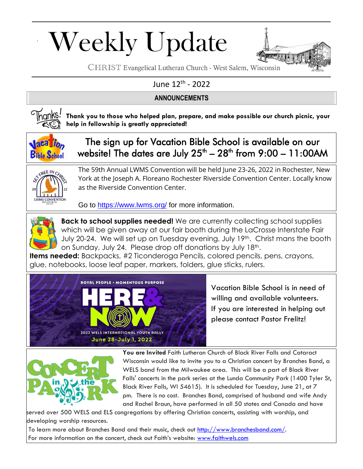# Weekly Update



CHRIST Evangelical Lutheran Church - West Salem, Wisconsin

### June 12<sup>th</sup> - 2022

#### **ANNOUNCEMENTS**



**Thank you to those who helped plan, prepare, and make possible our church picnic, your help in fellowship is greatly appreciated!**



The sign up for Vacation Bible School is available on our website! The dates are July 25<sup>th</sup> – 28<sup>th</sup> from 9:00 – 11:00AM



The 59th Annual LWMS Convention will be held June 23-26, 2022 in Rochester, New York at the Joseph A. Floreano Rochester Riverside Convention Center. Locally know as the Riverside Convention Center.

Go to<https://www.lwms.org/> for more information.



**Back to school supplies needed!** We are currently collecting school supplies which will be given away at our fair booth during the LaCrosse Interstate Fair July 20-24. We will set up on Tuesday evening, July 19th. Christ mans the booth on Sunday, July 24. Please drop off donations by July 18th.

**Items needed:** Backpacks, #2 Ticonderoga Pencils, colored pencils, pens, crayons, glue, notebooks, loose leaf paper, markers, folders, glue sticks, rulers.



Vacation Bible School is in need of willing and available volunteers. If you are interested in helping out please contact Pastor Frelitz!



**You are Invited** Faith Lutheran Church of Black River Falls and Cataract Wisconsin would like to invite you to a Christian concert by Branches Band, a WELS band from the Milwaukee area. This will be a part of Black River Falls' concerts in the park series at the Lunda Community Park (1400 Tyler St, Black River Falls, WI 54615). It is scheduled for Tuesday, June 21, at 7 pm. There is no cost. Branches Band, comprised of husband and wife Andy and Rachel Braun, have performed in all 50 states and Canada and have

served over 500 WELS and ELS congregations by offering Christian concerts, assisting with worship, and developing worship resources.

To learn more about Branches Band and their music, check out [http://www.branchesband.com/.](http://www.branchesband.com/) For more information on the concert, check out Faith's website: [www.faithwels.com](http://www.faithwels.com/)